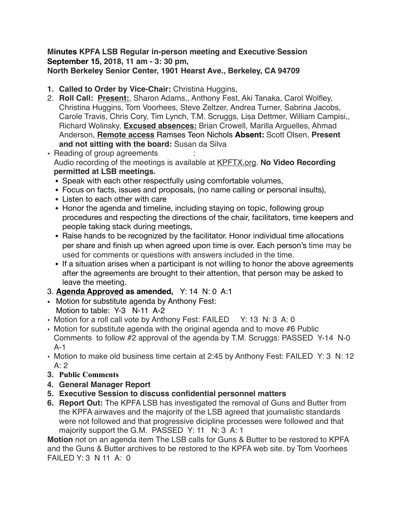### **Minutes KPFA LSB Regular in-person meeting and Executive Session September 15, 2018, 11 am - 3: 30 pm, North Berkeley Senior Center, 1901 Hearst Ave., Berkeley, CA 94709**

- **1. Called to Order by Vice-Chair:** Christina Huggins,
- 2. **Roll Call: Present:**, Sharon Adams,, Anthony Fest, Aki Tanaka, Carol Wolfley, Christina Huggins, Tom Voorhees, Steve Zeltzer, Andrea Turner, Sabrina Jacobs, Carole Travis, Chris Cory, Tim Lynch, T.M. Scruggs, Lisa Dettmer, William Campisi,, Richard Wolinsky, **Excused absences:** Brian Crowell, Marilla Arguelles, Ahmad Anderson, **Remote access** Ramses Teon Nichols **Absent:** Scott Olsen, **Present and not sitting with the board:** Susan da Silva
- Reading of group agreements Audio recording of the meetings is available at [KPFTX.org](http://KPFTX.org). **No Video Recording permitted at LSB meetings.** 
	- Speak with each other respectfully using comfortable volumes,
	- Focus on facts, issues and proposals, (no name calling or personal insults),
	- Listen to each other with care
	- Honor the agenda and timeline, including staying on topic, following group procedures and respecting the directions of the chair, facilitators, time keepers and people taking stack during meetings,
	- Raise hands to be recognized by the facilitator. Honor individual time allocations per share and finish up when agreed upon time is over. Each person's time may be used for comments or questions with answers included in the time.
	- If a situation arises when a participant is not willing to honor the above agreements after the agreements are brought to their attention, that person may be asked to leave the meeting.
- 3. **Agenda Approved as amended,** Y: 14 N: 0 A:1
- Motion for substitute agenda by Anthony Fest: Motion to table: Y-3 N-11 A-2
- Motion for a roll call vote by Anthony Fest: FAILED Y: 13 N: 3 A: 0
- Motion for substitute agenda with the original agenda and to move #6 Public Comments to follow #2 approval of the agenda by T.M. Scruggs: PASSED Y-14 N-0 A-1
- Motion to make old business time certain at 2:45 by Anthony Fest: FAILED Y: 3 N: 12  $A:2$
- **3. Public Comments**
- **4. General Manager Report**
- **5. Executive Session to discuss confidential personnel matters**
- **6. Report Out:** The KPFA LSB has investigated the removal of Guns and Butter from the KPFA airwaves and the majority of the LSB agreed that journalistic standards were not followed and that progressive dicipline processes were followed and that majority support the G.M. PASSED Y: 11 N: 3 A: 1

**Motion** not on an agenda item The LSB calls for Guns & Butter to be restored to KPFA and the Guns & Butter archives to be restored to the KPFA web site. by Tom Voorhees FAILED Y: 3 N 11 A: 0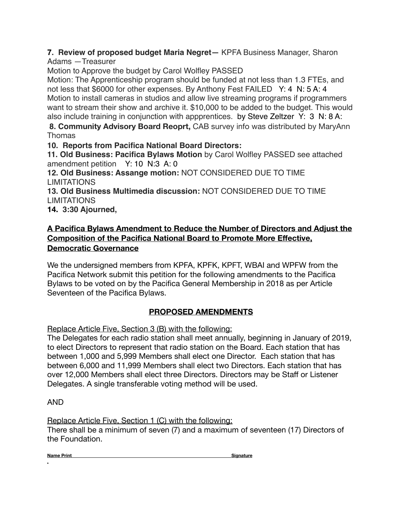#### **7. Review of proposed budget Maria Negret—** KPFA Business Manager, Sharon Adams —Treasurer

Motion to Approve the budget by Carol Wolfley PASSED

Motion: The Apprenticeship program should be funded at not less than 1.3 FTEs, and not less that \$6000 for other expenses. By Anthony Fest FAILED Y: 4 N: 5 A: 4 Motion to install cameras in studios and allow live streaming programs if programmers want to stream their show and archive it. \$10,000 to be added to the budget. This would also include training in conjunction with appprentices. by Steve Zeltzer Y: 3 N: 8 A:

**8. Community Advisory Board Reoprt,** CAB survey info was distributed by MaryAnn Thomas

**10. Reports from Pacifica National Board Directors:** 

**11. Old Business: Pacifica Bylaws Motion** by Carol Wolfley PASSED see attached amendment petition Y: 10 N:3 A: 0

**12. Old Business: Assange motion:** NOT CONSIDERED DUE TO TIME LIMITATIONS

**13. Old Business Multimedia discussion:** NOT CONSIDERED DUE TO TIME LIMITATIONS

**14. 3:30 Ajourned,**

## **A Pacifica Bylaws Amendment to Reduce the Number of Directors and Adjust the Composition of the Pacifica National Board to Promote More Effective, Democratic Governance**

We the undersigned members from KPFA, KPFK, KPFT, WBAI and WPFW from the Pacifica Network submit this petition for the following amendments to the Pacifica Bylaws to be voted on by the Pacifica General Membership in 2018 as per Article Seventeen of the Pacifica Bylaws.

# **PROPOSED AMENDMENTS**

Replace Article Five, Section 3 (B) with the following:

The Delegates for each radio station shall meet annually, beginning in January of 2019, to elect Directors to represent that radio station on the Board. Each station that has between 1,000 and 5,999 Members shall elect one Director. Each station that has between 6,000 and 11,999 Members shall elect two Directors. Each station that has over 12,000 Members shall elect three Directors. Directors may be Staff or Listener Delegates. A single transferable voting method will be used.

### AND

Replace Article Five, Section 1 (C) with the following: There shall be a minimum of seven (7) and a maximum of seventeen (17) Directors of the Foundation.

**Name Print Signature 3 and Signature 3 and Signature 3 and Signature 3 and Signature 3 and Signature 3 and Signature 3 and Signature 3 and Signature 3 and Signature 3 and Signature 3 and Signature 3 and Signature 3 and Si .**